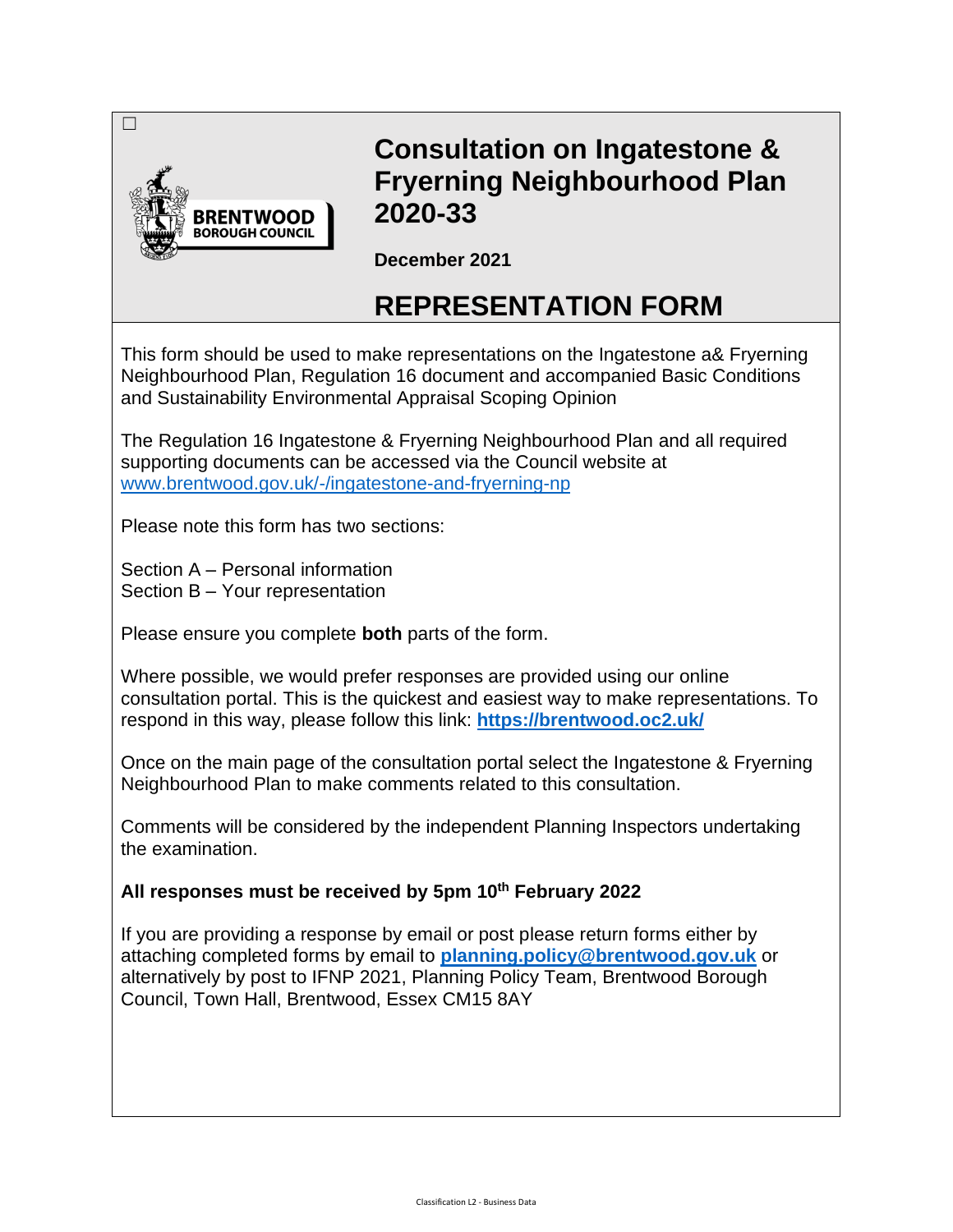

# **Consultation on Ingatestone & Fryerning Neighbourhood Plan 2020-33**

**December 2021**

# **REPRESENTATION FORM**

This form should be used to make representations on the Ingatestone a& Fryerning Neighbourhood Plan, Regulation 16 document and accompanied Basic Conditions and Sustainability Environmental Appraisal Scoping Opinion

The Regulation 16 Ingatestone & Fryerning Neighbourhood Plan and all required supporting documents can be accessed via the Council website at www.brentwood.gov.uk/-/ingatestone-and-fryerning-np

Please note this form has two sections:

Section A – Personal information Section B – Your representation

Please ensure you complete **both** parts of the form.

Where possible, we would prefer responses are provided using our online consultation portal. This is the quickest and easiest way to make representations. To respond in this way, please follow this link: **https://brentwood.oc2.uk/**

Once on the main page of the consultation portal select the Ingatestone & Fryerning Neighbourhood Plan to make comments related to this consultation.

Comments will be considered by the independent Planning Inspectors undertaking the examination.

**All responses must be received by 5pm 10th February 2022**

If you are providing a response by email or post please return forms either by attaching completed forms by email to **planning.policy@brentwood.gov.uk** or alternatively by post to IFNP 2021, Planning Policy Team, Brentwood Borough Council, Town Hall, Brentwood, Essex CM15 8AY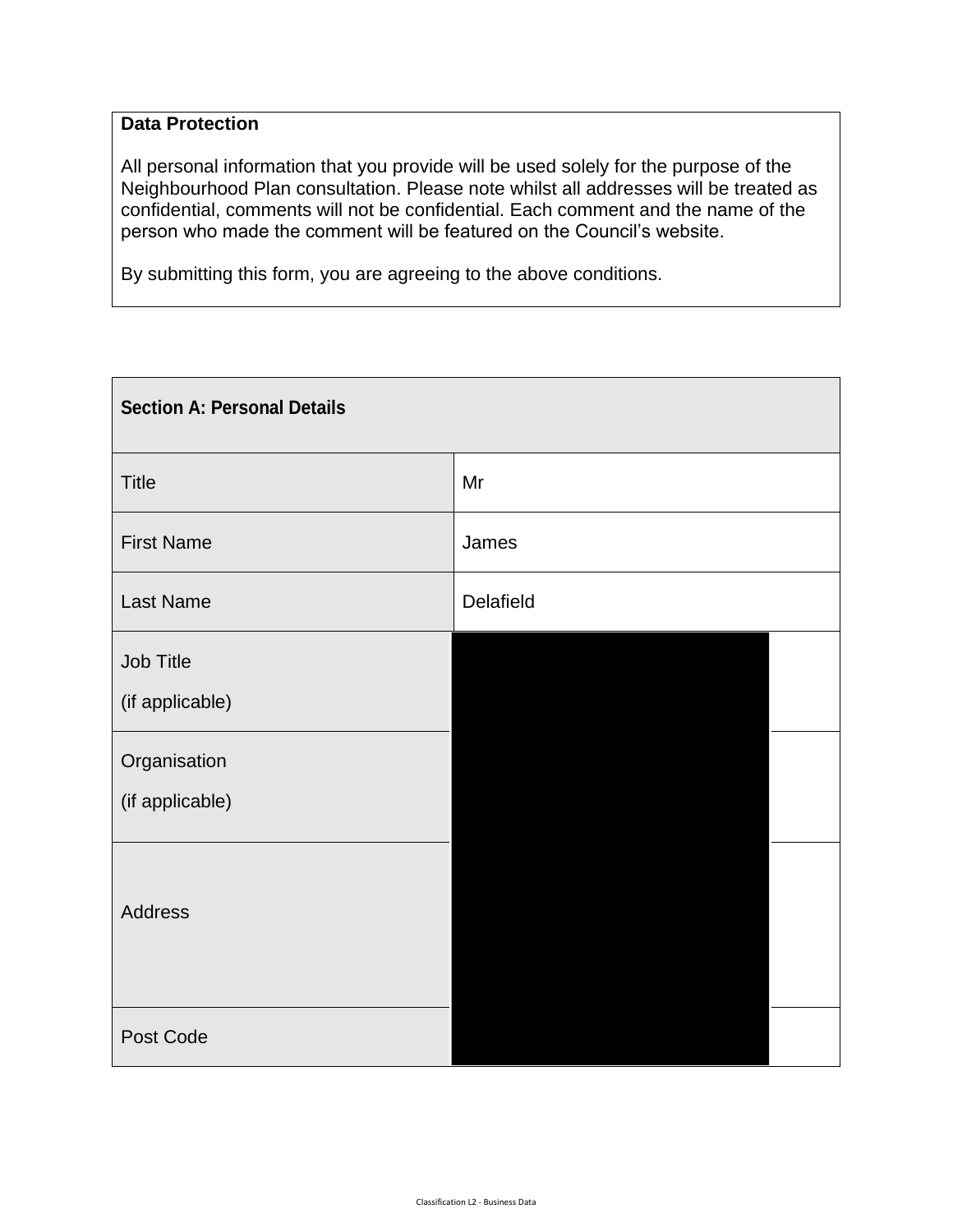# **Data Protection**

All personal information that you provide will be used solely for the purpose of the Neighbourhood Plan consultation. Please note whilst all addresses will be treated as confidential, comments will not be confidential. Each comment and the name of the person who made the comment will be featured on the Council's website.

By submitting this form, you are agreeing to the above conditions.

| <b>Section A: Personal Details</b> |           |  |  |  |
|------------------------------------|-----------|--|--|--|
| <b>Title</b>                       | Mr        |  |  |  |
| <b>First Name</b>                  | James     |  |  |  |
| Last Name                          | Delafield |  |  |  |
| Job Title<br>(if applicable)       |           |  |  |  |
| Organisation<br>(if applicable)    |           |  |  |  |
| Address                            |           |  |  |  |
| Post Code                          |           |  |  |  |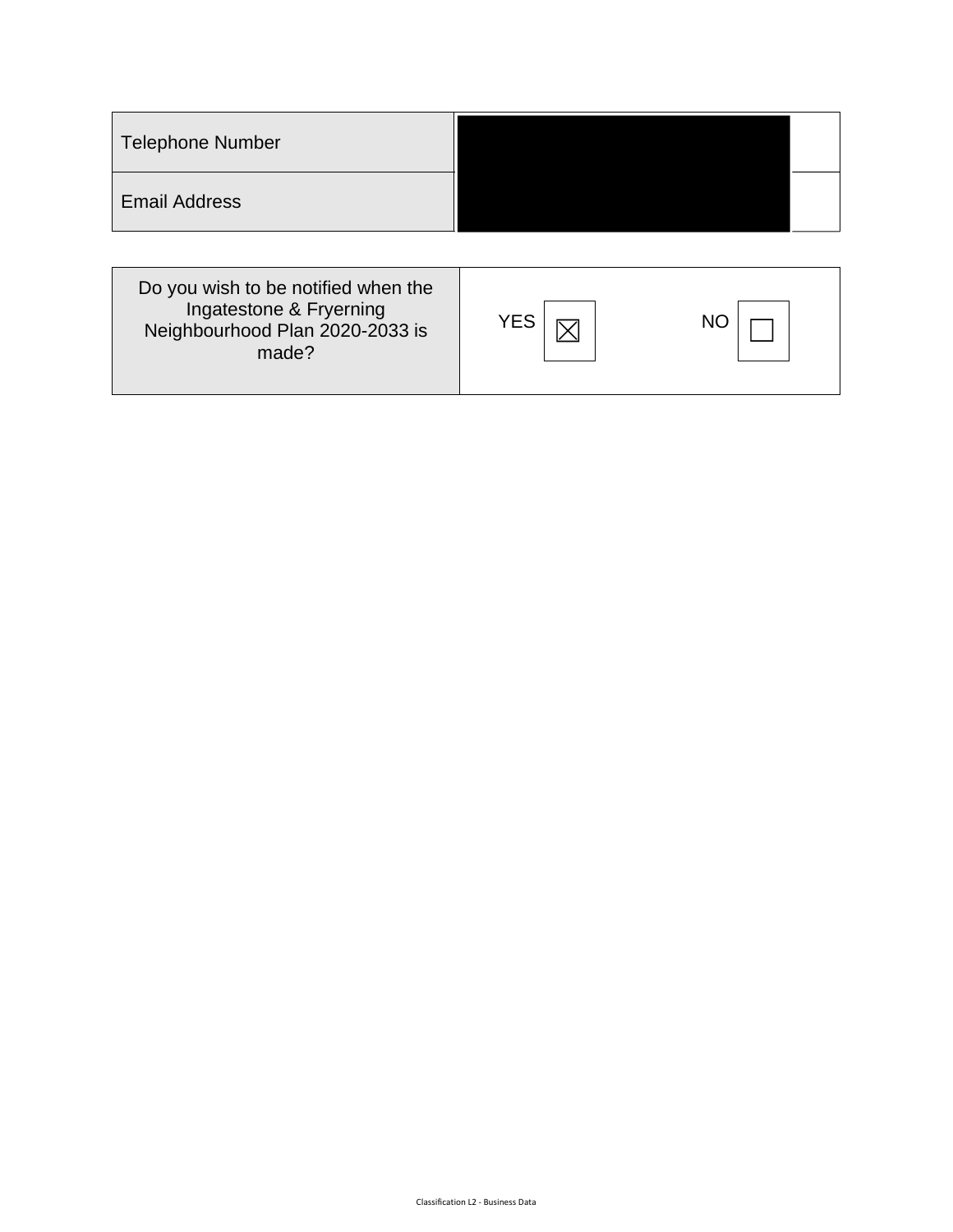| <b>Telephone Number</b>                                        |            |    |
|----------------------------------------------------------------|------------|----|
| <b>Email Address</b>                                           |            |    |
| Do you wish to be notified when the<br>Ingatestone & Fryerning |            |    |
| Neighbourhood Plan 2020-2033 is<br>made?                       | <b>YES</b> | NO |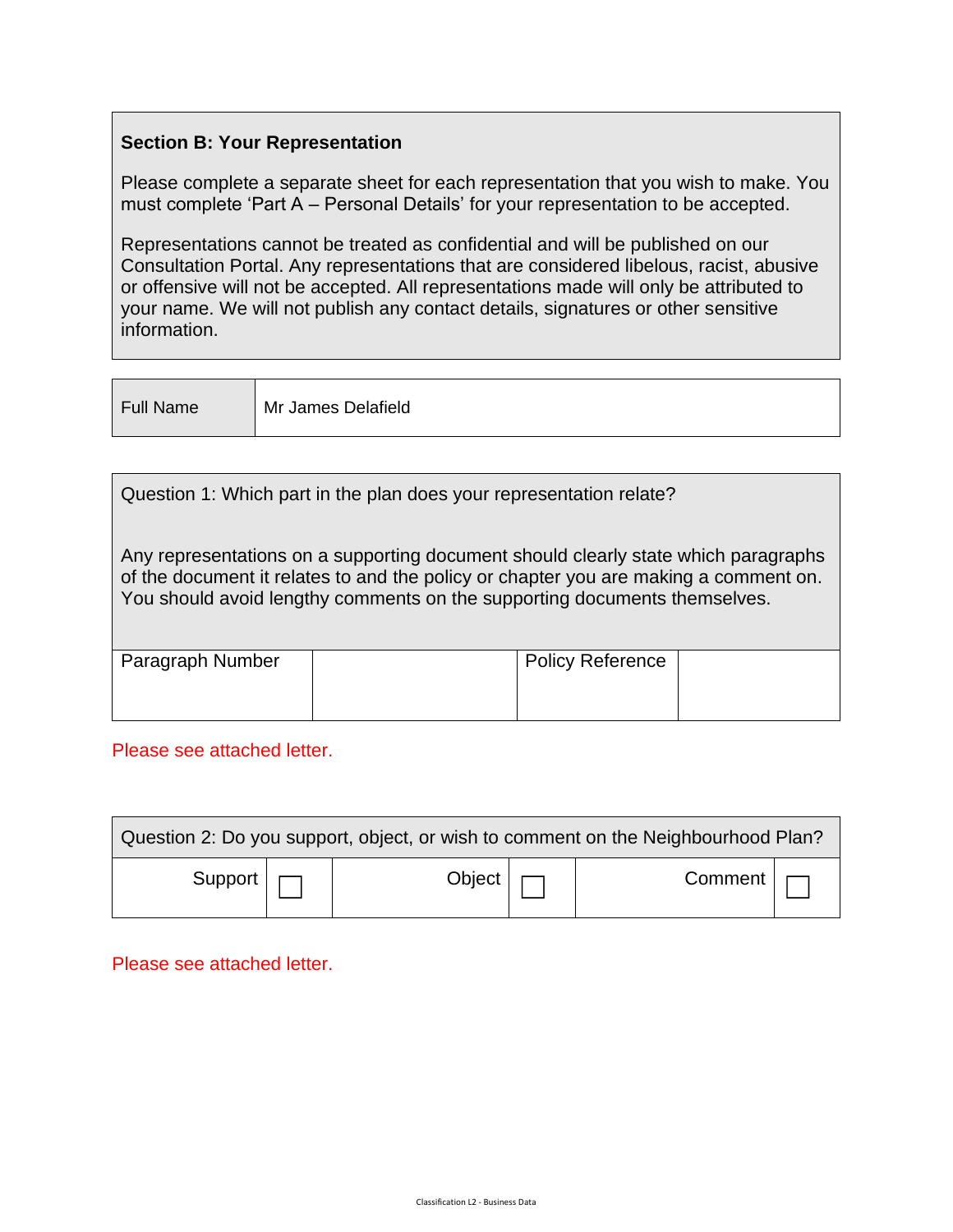## **Section B: Your Representation**

Please complete a separate sheet for each representation that you wish to make. You must complete 'Part A – Personal Details' for your representation to be accepted.

Representations cannot be treated as confidential and will be published on our Consultation Portal. Any representations that are considered libelous, racist, abusive or offensive will not be accepted. All representations made will only be attributed to your name. We will not publish any contact details, signatures or other sensitive information.

Full Name Mr James Delafield

| Question 1: Which part in the plan does your representation relate?                                                                                                                                                                                     |                         |  |  |  |  |  |  |
|---------------------------------------------------------------------------------------------------------------------------------------------------------------------------------------------------------------------------------------------------------|-------------------------|--|--|--|--|--|--|
| Any representations on a supporting document should clearly state which paragraphs<br>of the document it relates to and the policy or chapter you are making a comment on.<br>You should avoid lengthy comments on the supporting documents themselves. |                         |  |  |  |  |  |  |
|                                                                                                                                                                                                                                                         | <b>Policy Reference</b> |  |  |  |  |  |  |
|                                                                                                                                                                                                                                                         |                         |  |  |  |  |  |  |

### Please see attached letter.

| Question 2: Do you support, object, or wish to comment on the Neighbourhood Plan? |  |                      |  |                     |  |  |
|-----------------------------------------------------------------------------------|--|----------------------|--|---------------------|--|--|
| Support $\vert \vert$                                                             |  | Object $\vert \vert$ |  | $Common <   \frown$ |  |  |

Please see attached letter.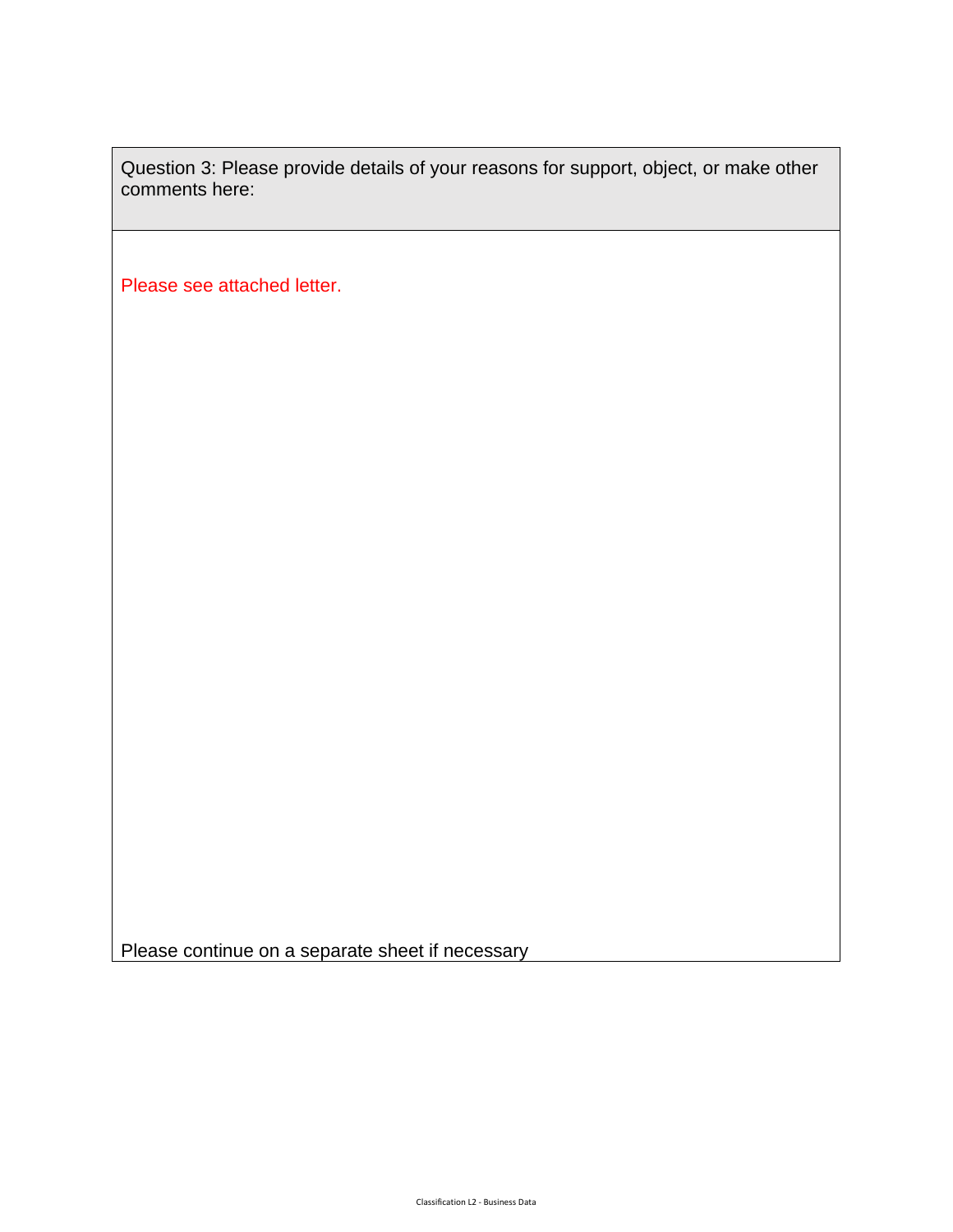Question 3: Please provide details of your reasons for support, object, or make other comments here:

Please see attached letter.

Please continue on a separate sheet if necessary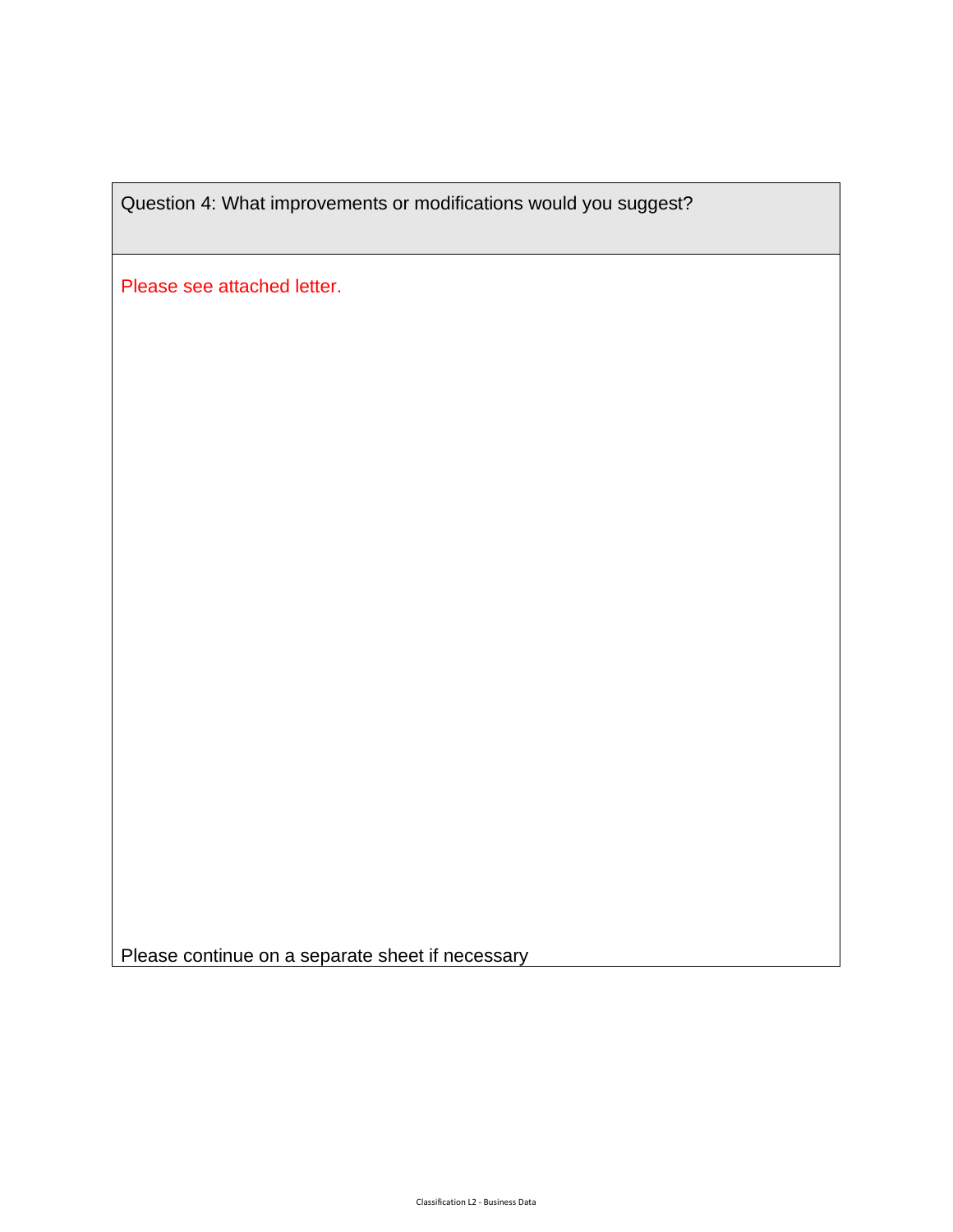Question 4: What improvements or modifications would you suggest?

Please see attached letter.

Please continue on a separate sheet if necessary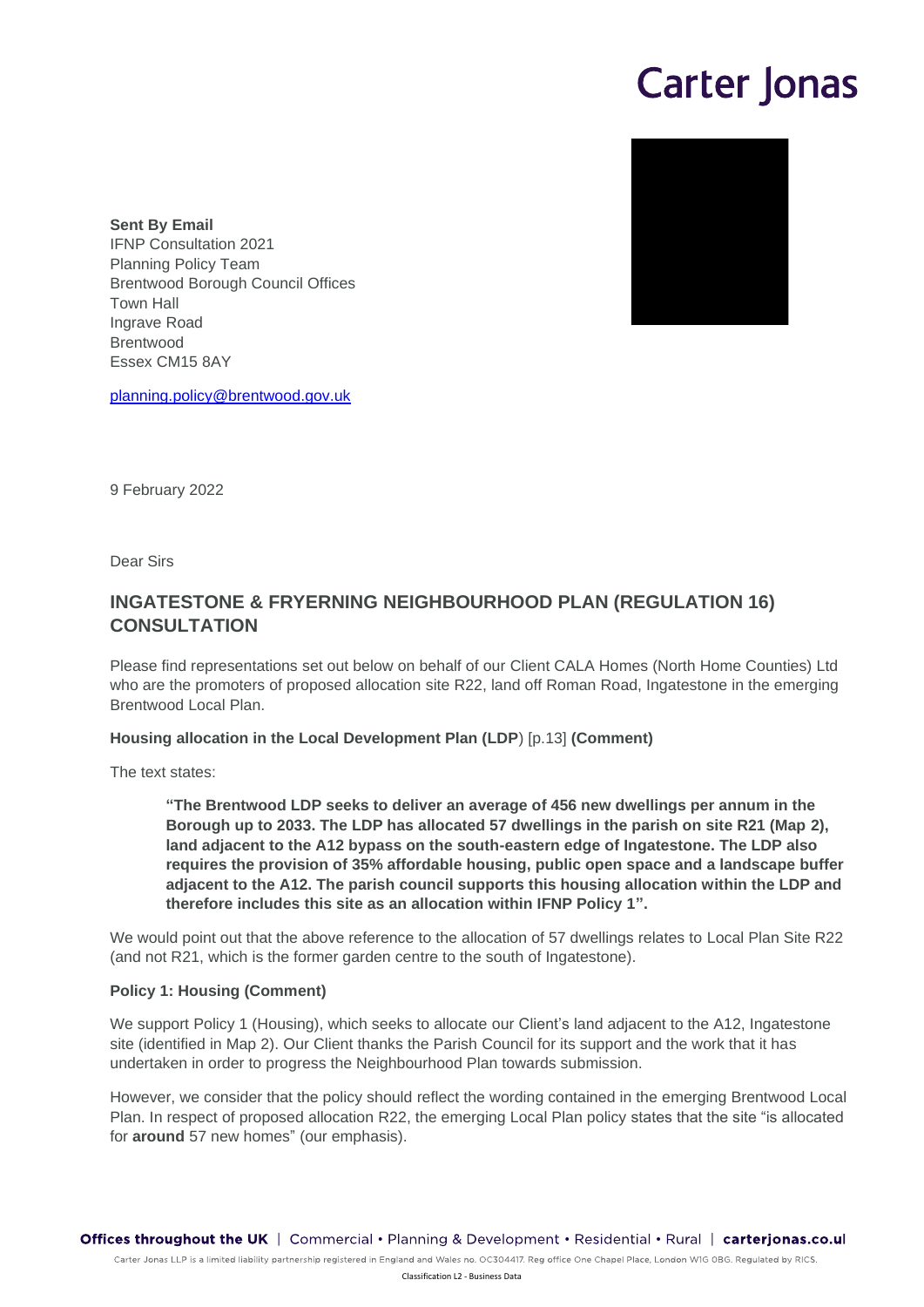# **Carter Jonas**



**Sent By Email**  IFNP Consultation 2021 Planning Policy Team Brentwood Borough Council Offices Town Hall Ingrave Road Brentwood Essex CM15 8AY

planning.policy@brentwood.gov.uk

9 February 2022

Dear Sirs

## **INGATESTONE & FRYERNING NEIGHBOURHOOD PLAN (REGULATION 16) CONSULTATION**

Please find representations set out below on behalf of our Client CALA Homes (North Home Counties) Ltd who are the promoters of proposed allocation site R22, land off Roman Road, Ingatestone in the emerging Brentwood Local Plan.

#### **Housing allocation in the Local Development Plan (LDP**) [p.13] **(Comment)**

The text states:

**"The Brentwood LDP seeks to deliver an average of 456 new dwellings per annum in the Borough up to 2033. The LDP has allocated 57 dwellings in the parish on site R21 (Map 2), land adjacent to the A12 bypass on the south-eastern edge of Ingatestone. The LDP also requires the provision of 35% affordable housing, public open space and a landscape buffer adjacent to the A12. The parish council supports this housing allocation within the LDP and therefore includes this site as an allocation within IFNP Policy 1".**

We would point out that the above reference to the allocation of 57 dwellings relates to Local Plan Site R22 (and not R21, which is the former garden centre to the south of Ingatestone).

#### **Policy 1: Housing (Comment)**

We support Policy 1 (Housing), which seeks to allocate our Client's land adjacent to the A12, Ingatestone site (identified in Map 2). Our Client thanks the Parish Council for its support and the work that it has undertaken in order to progress the Neighbourhood Plan towards submission.

However, we consider that the policy should reflect the wording contained in the emerging Brentwood Local Plan. In respect of proposed allocation R22, the emerging Local Plan policy states that the site "is allocated for **around** 57 new homes" (our emphasis).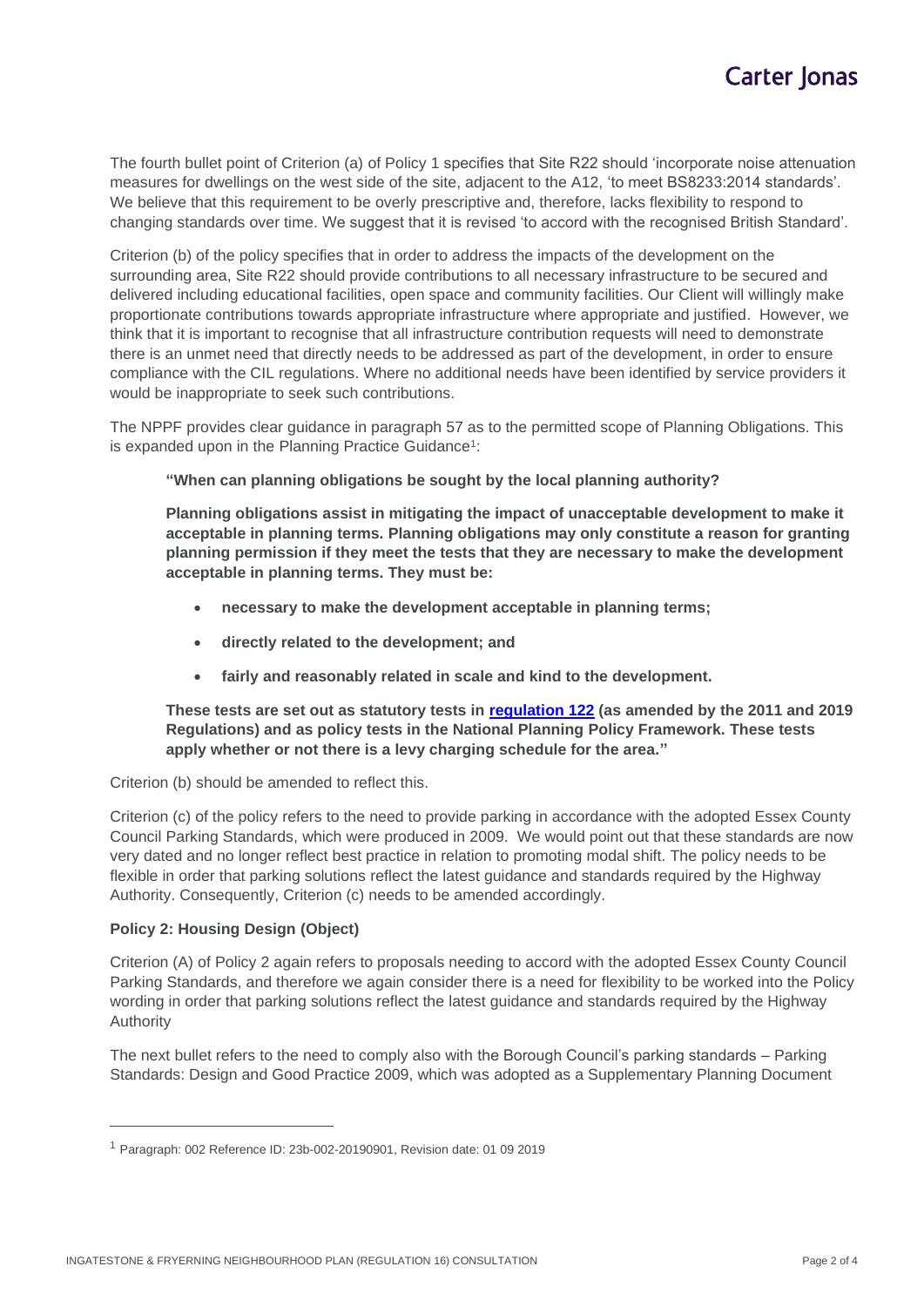The fourth bullet point of Criterion (a) of Policy 1 specifies that Site R22 should 'incorporate noise attenuation measures for dwellings on the west side of the site, adjacent to the A12, 'to meet BS8233:2014 standards'. We believe that this requirement to be overly prescriptive and, therefore, lacks flexibility to respond to changing standards over time. We suggest that it is revised 'to accord with the recognised British Standard'.

Criterion (b) of the policy specifies that in order to address the impacts of the development on the surrounding area, Site R22 should provide contributions to all necessary infrastructure to be secured and delivered including educational facilities, open space and community facilities. Our Client will willingly make proportionate contributions towards appropriate infrastructure where appropriate and justified. However, we think that it is important to recognise that all infrastructure contribution requests will need to demonstrate there is an unmet need that directly needs to be addressed as part of the development, in order to ensure compliance with the CIL regulations. Where no additional needs have been identified by service providers it would be inappropriate to seek such contributions.

The NPPF provides clear guidance in paragraph 57 as to the permitted scope of Planning Obligations. This is expanded upon in the Planning Practice Guidance<sup>1</sup>:

**"When can planning obligations be sought by the local planning authority?**

**Planning obligations assist in mitigating the impact of unacceptable development to make it acceptable in planning terms. Planning obligations may only constitute a reason for granting planning permission if they meet the tests that they are necessary to make the development acceptable in planning terms. They must be:**

- **necessary to make the development acceptable in planning terms;**
- **directly related to the development; and**
- **fairly and reasonably related in scale and kind to the development.**

**These tests are set out as statutory tests in regulation 122 (as amended by the 2011 and 2019 Regulations) and as policy tests in the National Planning Policy Framework. These tests apply whether or not there is a levy charging schedule for the area."**

Criterion (b) should be amended to reflect this.

Criterion (c) of the policy refers to the need to provide parking in accordance with the adopted Essex County Council Parking Standards, which were produced in 2009. We would point out that these standards are now very dated and no longer reflect best practice in relation to promoting modal shift. The policy needs to be flexible in order that parking solutions reflect the latest guidance and standards required by the Highway Authority. Consequently, Criterion (c) needs to be amended accordingly.

#### **Policy 2: Housing Design (Object)**

Criterion (A) of Policy 2 again refers to proposals needing to accord with the adopted Essex County Council Parking Standards, and therefore we again consider there is a need for flexibility to be worked into the Policy wording in order that parking solutions reflect the latest guidance and standards required by the Highway Authority

The next bullet refers to the need to comply also with the Borough Council's parking standards – Parking Standards: Design and Good Practice 2009, which was adopted as a Supplementary Planning Document

<sup>1</sup> Paragraph: 002 Reference ID: 23b-002-20190901, Revision date: 01 09 2019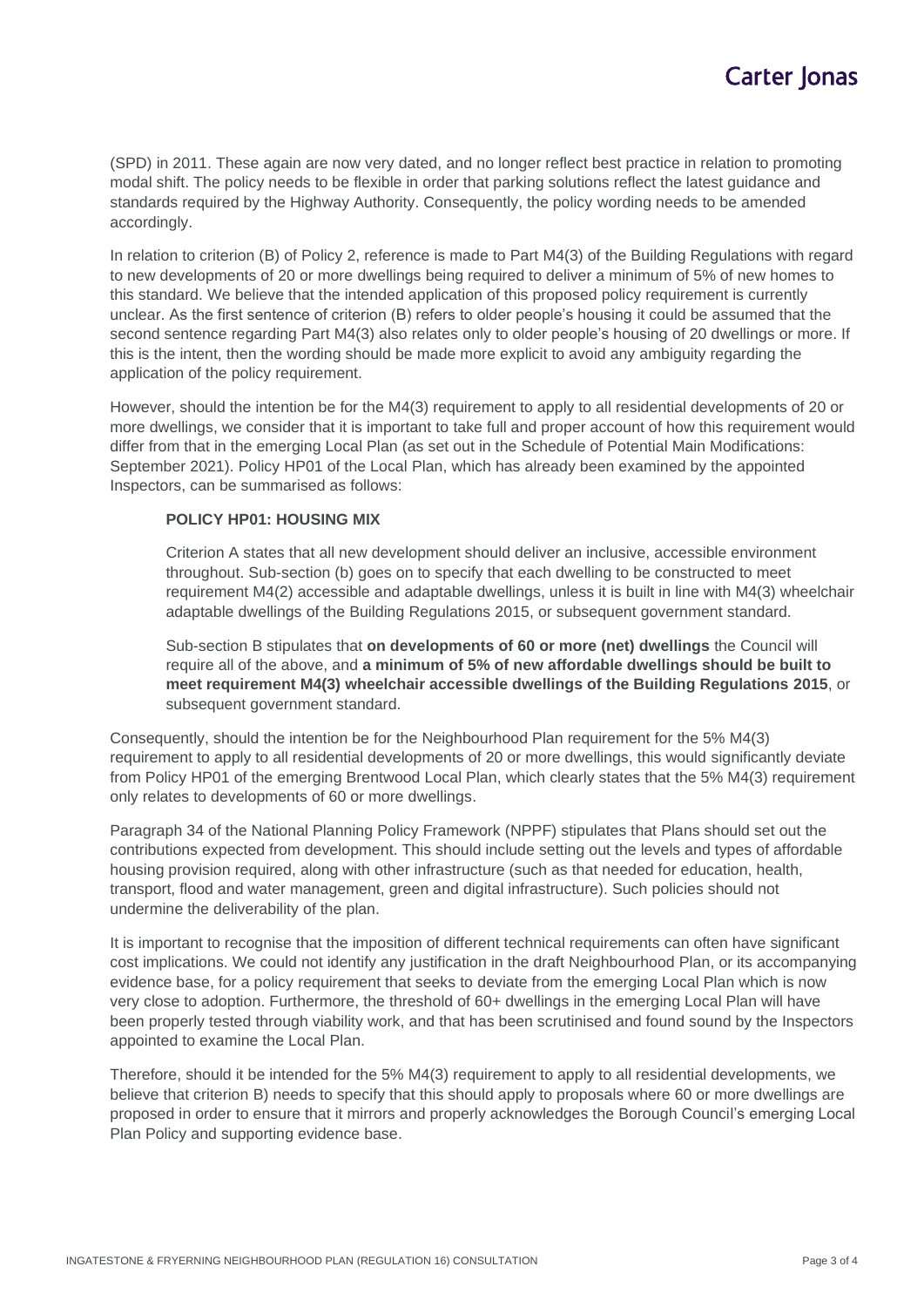(SPD) in 2011. These again are now very dated, and no longer reflect best practice in relation to promoting modal shift. The policy needs to be flexible in order that parking solutions reflect the latest guidance and standards required by the Highway Authority. Consequently, the policy wording needs to be amended accordingly.

In relation to criterion (B) of Policy 2, reference is made to Part M4(3) of the Building Regulations with regard to new developments of 20 or more dwellings being required to deliver a minimum of 5% of new homes to this standard. We believe that the intended application of this proposed policy requirement is currently unclear. As the first sentence of criterion (B) refers to older people's housing it could be assumed that the second sentence regarding Part M4(3) also relates only to older people's housing of 20 dwellings or more. If this is the intent, then the wording should be made more explicit to avoid any ambiguity regarding the application of the policy requirement.

However, should the intention be for the M4(3) requirement to apply to all residential developments of 20 or more dwellings, we consider that it is important to take full and proper account of how this requirement would differ from that in the emerging Local Plan (as set out in the Schedule of Potential Main Modifications: September 2021). Policy HP01 of the Local Plan, which has already been examined by the appointed Inspectors, can be summarised as follows:

#### **POLICY HP01: HOUSING MIX**

Criterion A states that all new development should deliver an inclusive, accessible environment throughout. Sub-section (b) goes on to specify that each dwelling to be constructed to meet requirement M4(2) accessible and adaptable dwellings, unless it is built in line with M4(3) wheelchair adaptable dwellings of the Building Regulations 2015, or subsequent government standard.

Sub-section B stipulates that **on developments of 60 or more (net) dwellings** the Council will require all of the above, and **a minimum of 5% of new affordable dwellings should be built to meet requirement M4(3) wheelchair accessible dwellings of the Building Regulations 2015**, or subsequent government standard.

Consequently, should the intention be for the Neighbourhood Plan requirement for the 5% M4(3) requirement to apply to all residential developments of 20 or more dwellings, this would significantly deviate from Policy HP01 of the emerging Brentwood Local Plan, which clearly states that the 5% M4(3) requirement only relates to developments of 60 or more dwellings.

Paragraph 34 of the National Planning Policy Framework (NPPF) stipulates that Plans should set out the contributions expected from development. This should include setting out the levels and types of affordable housing provision required, along with other infrastructure (such as that needed for education, health, transport, flood and water management, green and digital infrastructure). Such policies should not undermine the deliverability of the plan.

It is important to recognise that the imposition of different technical requirements can often have significant cost implications. We could not identify any justification in the draft Neighbourhood Plan, or its accompanying evidence base, for a policy requirement that seeks to deviate from the emerging Local Plan which is now very close to adoption. Furthermore, the threshold of 60+ dwellings in the emerging Local Plan will have been properly tested through viability work, and that has been scrutinised and found sound by the Inspectors appointed to examine the Local Plan.

Therefore, should it be intended for the 5% M4(3) requirement to apply to all residential developments, we believe that criterion B) needs to specify that this should apply to proposals where 60 or more dwellings are proposed in order to ensure that it mirrors and properly acknowledges the Borough Council's emerging Local Plan Policy and supporting evidence base.